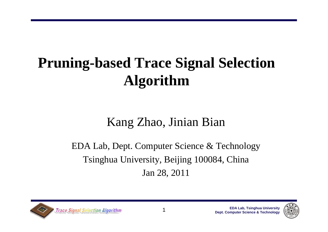## **Pruning-based Trace Signal Selection Algorithm**

### Kang Zhao, Jinian Bian

EDA Lab, Dept. Computer Science & Technology Tsinghua University, Beijing 100084, China Jan 28, 2011



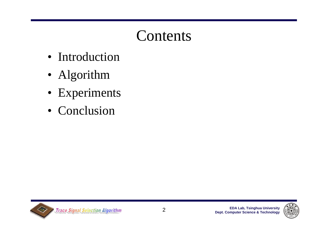- Introduction
- Algorithm
- Experiments
- Conclusion



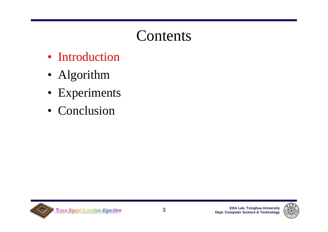- Introduction
- Algorithm
- Experiments
- Conclusion



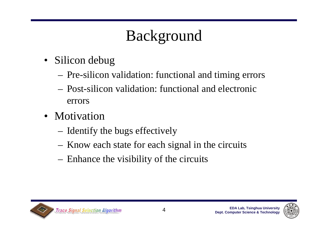# Background

- Silicon debug
	- –Pre-silicon validation: functional and timing errors
	- Post-silicon validation: functional and electronic errors
- Motivation
	- Identify the bugs effectively
	- Know each state for each signal in the circuits
	- Enhance the visibility of the circuits



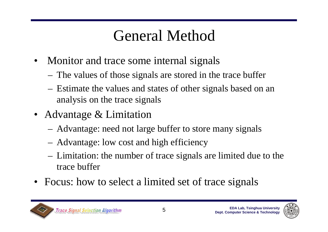### General Method

- Monitor and trace some internal signals
	- The values of those signals are stored in the trace buffer
	- Estimate the values and states of other signals based on an analysis on the trace signals
- Advantage & Limitation
	- Advantage: need not large buffer to store many signals
	- Advantage: low cost and high efficiency
	- Limitation: the number of trace signals are limited due to the trace buffer
- Focus: how to select a limited set of trace signals



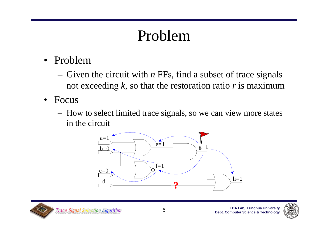### Problem

- Problem
	- $-$  Given the circuit with *n* FFs, find a subset of trace signals not exceeding *k*, so that the restoration ratio *<sup>r</sup>* is maximum
- • Focus
	- How to select limited trace signals, so we can view more states in the circuit





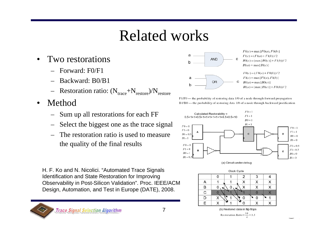### Related works

7

- • Two restorations
	- Forward: F0/F1
	- Backward: B0/B1
	- $-$  Restoration ratio: ( $N_{\text{trace}}+N_{\text{restore}}$ )/ $N_{\text{restore}}$
- • Method
	- Sum up all restorations for each FF
	- Select the biggest one as the trace signal
	- The restoration ratio is used to measure the quality of the final results

H. F. Ko and N. Nicolici. "Automated Trace Signals Identification and State Restoration for Improving Observability in Post-Silicon Validation". Proc. IEEE/ACM Design, Automation, and Test in Europe (DATE), 2008.

**Trace Signal Selection Algorithm** 





 $F0(c) = \max\{F0(a), F0(b)\}\$ 



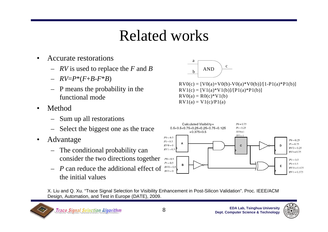### Related works

- • Accurate restorations
	- *RV* is used to replace the *F* and *B*
	- *RV*=*P*\*(*F*+*B*-*F*\**B*)
	- P means the probability in the functional mode
- • Method
	- Sum up all restorations
	- Select the biggest one as the trace
- • Advantage
	- The conditional probability can consider the two directions together
	- *P* can reduce the additional effect of the initial values



 $RV0(c) = [V0(a)+V0(b)-V0(a)*V0(b)]/[1-P1(a)*P1(b)]$  $RV1(c) = [V1(a)*V1(b)]/[P1(a)*P1(b)]$  $RV0(a) = R0(c)*V1(b)$  $RV1(a) = V1(c)/P1(a)$ 



X. Liu and Q. Xu. "Trace Signal Selection for Visibility Enhancement in Post-Silicon Validation". Proc. IEEE/ACM Design, Automation, and Test in Europe (DATE), 2009.



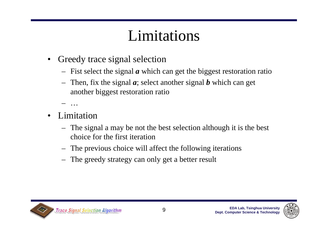### Limitations

- • Greedy trace signal selection
	- Fist select the signal *<sup>a</sup>* which can get the biggest restoration ratio
	- Then, fix the signal *a*; select another signal *b* which can get another biggest restoration ratio

…

- • Limitation
	- The signal a may be not the best selection although it is the best choice for the first iteration
	- The previous choice will affect the following iterations
	- The greedy strategy can only get a better result



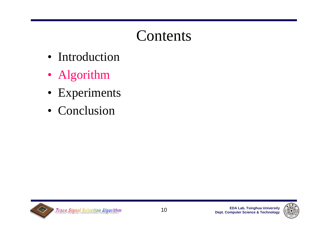- Introduction
- Algorithm
- Experiments
- Conclusion



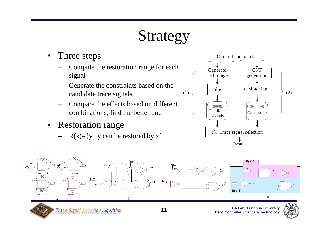### Strategy

- • Three steps
	- – Compute the restoration range for each signal
	- – Generate the constraints based on the candidate trace signals
	- – Compare the effects based on different combinations, find the better one
- $\bullet$  Restoration range
	- – $R(x)=\{y \mid y \text{ can be restored by } x\}$



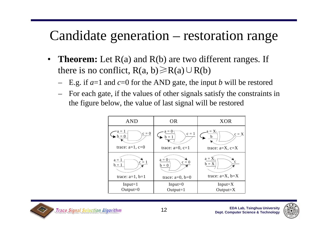### Candidate generation – restoration range

- $\bullet$ **Theorem:** Let R(a) and R(b) are two different ranges. If there is no conflict,  $R(a, b) \ge R(a) \cup R(b)$ 
	- E.g. if *a*=1 and *c*=0 for the AND gate, the input *b* will be restored
	- For each gate, if the values of other signals satisfy the constraints in the figure below, the value of last signal will be restored

| <b>AND</b>                               | <b>OR</b>                                | <b>XOR</b>                                      |  |  |  |  |  |
|------------------------------------------|------------------------------------------|-------------------------------------------------|--|--|--|--|--|
| a = 1<br>$c = 0$<br>trace: $a=1$ , $c=0$ | $a=0$<br>$c = 1$<br>trace: $a=0$ , $c=1$ | $a = X$<br>$c = X$<br>h<br>trace: $a=X$ , $c=X$ |  |  |  |  |  |
| $a = 1$                                  | $a = 0$                                  | $a = X$                                         |  |  |  |  |  |
| $c = 1$                                  | $c = 0$                                  | c                                               |  |  |  |  |  |
| $b = 1$                                  | $b=0$                                    | $b = X$                                         |  |  |  |  |  |
| trace: $a=1$ , $b=1$                     | trace: $a=0$ , $b=0$                     | trace: $a=X$ , $b=X$                            |  |  |  |  |  |
| $Input = 1$                              | $Input = 0$                              | $Input = X$                                     |  |  |  |  |  |
| $Output=0$                               | $Output = 1$                             | $Output = X$                                    |  |  |  |  |  |



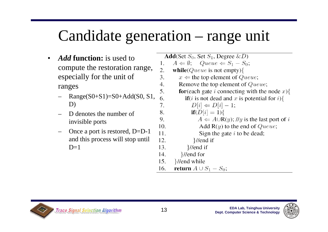### Candidate generation – range unit

- • *Add* **function:** is used to compute the restoration range, especially for the unit of ranges
	- $Range(S0+S1)=S0+Add(S0, S1,$ D)
	- D denotes the number of invisible ports
	- Once a port is restored, D=D-1 and this process will stop until  $D=1$

**Add**(Set  $S_0$ , Set  $S_1$ , Degree  $\&D$ )  $A \Leftarrow \emptyset$ ; Queue  $\Leftarrow S_1 - S_0$ ;  $1$ 2. while  $Queue$  is not empty) $\{$  $3.$  $x \leftarrow$  the top element of *Queue*;  $\overline{4}$ . Remove the top element of Queue;  $5<sub>1</sub>$ **for**(each gate *i* connecting with the node  $x$ ){ 6 **if**(*i* is not dead and *x* is potential for *i*){  $D[i] \Leftarrow D[i] - 1;$ 7. 8.  $if(D[i] = 1)$  $\mathbf{Q}_{1}$  $A \leftarrow A \cup R(y)$ ; //y is the last port of i  $10<sub>l</sub>$ Add  $R(y)$  to the end of Queue;  $11.$ Sign the gate  $i$  to be dead;  $12.$  $}/\ell$ end if 13.  $}/\ell$ end if  $}/\ell$ end for 14. }//end while 15. return  $A \cup S_1 - S_0$ ; 16.



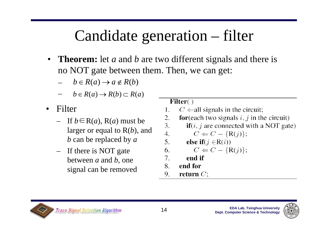### Candidate generation – filter

 $\bullet$  **Theorem:** let *<sup>a</sup>* and *b* are two different signals and there is no NOT gate between them. Then, we can get:

 $\overline{4}$ .

 $5.$ 

- $b \in R(a) \rightarrow a \notin R(b)$
- $b \in R(a) \rightarrow R(b) \subset R(a)$
- • Filter
	- If *b*∈R(*a*), R(*a*) must be larger or equal to R(*b*), and *b* can be replaced by *<sup>a</sup>*
	- If there is NOT gate between *a* and *b*, one signal can be removed

### Filter()

- $C \leftarrow$ all signals in the circuit; 1.
- 2. **for**(each two signals  $i, j$  in the circuit)
- 3.  $if(i, j \text{ are connected with a NOT gate})$

$$
C \Leftarrow C - \{ \mathsf{R}(j) \};
$$

else if $(j \in R(i))$ 

$$
C \Leftarrow C - \{R(j)\};
$$

- 7. end if
- end for 8.
- 9. return  $C$ ;



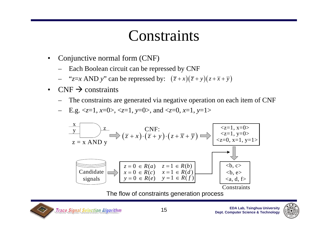### **Constraints**

- • Conjunctive normal form (CNF)
	- –Each Boolean circuit can be repressed by CNF
	- " $z=x$  AND *y*" can be repressed by:  $(\overline{z}+x)(\overline{z}+y)(z+\overline{x}+\overline{y})$
- $\bullet$  $CNF \rightarrow$  constraints
	- The constraints are generated via negative operation on each item of CNF
	- E.g. <*z*=1, *<sup>x</sup>*=0>, <*z*=1, *y*=0>, and <*z*=0, *x*=1, *y*=1>



The flow of constraints generation process



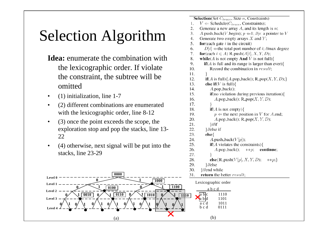# Selection Algorithm

- **Idea:** enumerate the combination with the lexicographic order. If violate the constraint, the subtree will be omitted
- $\bullet$ (1) initialization, line 1-7
- • (2) different combinations are enumerated with the lexicographic order, line 8-12
- $\bullet$  (3) once the point exceeds the scope, the exploration stop and pop the stacks, line 13- 22
- • (4) otherwise, next signal will be put into the stacks, line 23-29



|     | $\text{Sctc}$ <i>don</i> ( $\text{Sct}$ $\cup$ <sub>trace</sub> , $\text{Sitz }$ <i>n</i> , $\text{C}$ onstrama) |
|-----|------------------------------------------------------------------------------------------------------------------|
| 1.  | $V \leftarrow$ Schedule( $C_{trace}$ , Constraints);                                                             |
| 2.  | Generate a new array $A$ , and its length is $n$ ;                                                               |
| 3.  | A.push_back(V.begin); $p \leftarrow 1$ ; //p: a pointer to V                                                     |
| 4.  | Generate two empty arrays $X$ and $Y$ ;                                                                          |
| 5.  | for (each gate $i$ in the circuit)                                                                               |
| 6.  | $D[i] \leftarrow$ the total port number of i; //max degree                                                       |
| 7.  | for (each $i \in A$ ) R_push( $A[i], X, Y, D$ );                                                                 |
| 8.  | <b>while</b> ( <i>A</i> is not empty <b>And</b> <i>V</i> is not full){                                           |
| 9.  | $\textbf{if}(A \text{ is full and its range is larger than ever})$                                               |
| 10. | Record the combination in result;                                                                                |
| 11. | ł                                                                                                                |
| 12. | $\textbf{if}(A \text{ is full})\{A.\text{pop}\text{-back}(); R.\text{pop}(X, Y, D);\}$                           |
| 13. | else if $(V$ is full) $\{$                                                                                       |
| 14. | $A.pop\_back()$ ;                                                                                                |
| 15. | <b>if</b> (no violation during previous iteration){                                                              |
| 16. | $A.pop\_back()$ ; R_pop $(X, Y, D)$ ;                                                                            |
| 17. | ł                                                                                                                |
| 18. | $if(A \text{ is not empty})\{$                                                                                   |
| 19. | $p \leftarrow$ the next position in V for A.end;                                                                 |
| 20. | $A.pop\_back()$ ; R_pop $(X, Y, D)$ ;                                                                            |
| 21. | $\frac{1}{1}$                                                                                                    |
| 22. | }//else if                                                                                                       |
| 23. | else{                                                                                                            |
| 24. | A.push_back( $V[p]$ );                                                                                           |
| 25. | $\mathbf{if}(A \text{ violates the constraints})$                                                                |
| 26. | $A.pop\_back()$ ; $++p$ ;<br>continue;                                                                           |
| 27. |                                                                                                                  |
| 28. | else ${R\_push(V[p], X, Y, D); \t++p;}$                                                                          |
| 29. | }//else                                                                                                          |
| 30. | }//end while                                                                                                     |
| 31. | return the better result;                                                                                        |
|     | Lexicographic order                                                                                              |

 $\overline{Cize}$   $\overline{Cone}$ 

a b c d

 $\mathbf{Caloation}(\mathbf{Cot} \mathcal{C})$ 

(b)

<sup>c</sup> 1110

1101

1011

0111

a b

a b d

a c d

b c d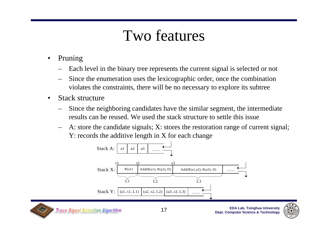### Two features

- • Pruning
	- –Each level in the binary tree represents the current signal is selected or not
	- Since the enumeration uses the lexicographic order, once the combination violates the constraints, there will be no necessary to explore its subtree
- • Stack structure
	- – Since the neighboring candidates have the similar segment, the intermediate results can be reused. We used the stack structure to settle this issue
	- – A: store the candidate signals; X: stores the restoration range of current signal; Y: records the additive length in X for each change





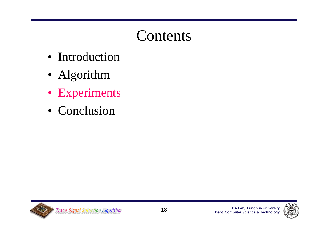- Introduction
- Algorithm
- Experiments
- Conclusion



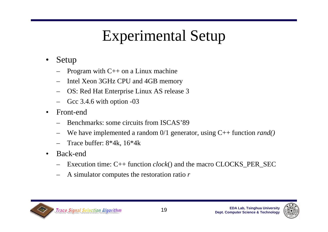## Experimental Setup

- • Setup
	- –Program with C++ on a Linux machine
	- –Intel Xeon 3GHz CPU and 4GB memory
	- –OS: Red Hat Enterprise Linux AS release 3
	- –Gcc 3.4.6 with option -03
- • Front-end
	- –Benchmarks: some circuits from ISCAS'89
	- We have implemented a random 0/1 generator, using C++ function *rand()*
	- –Trace buffer: 8\*4k, 16\*4k
- • Back-end
	- –Execution time: C++ function *clock*() and the macro CLOCKS\_PER\_SEC
	- –A simulator computes the restoration ratio *<sup>r</sup>*



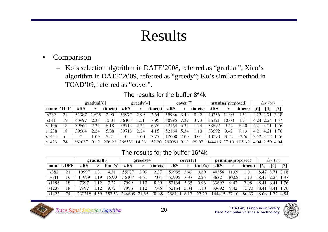### Results

#### •Comparison

– Ko's selection algorithm in DATE'2008, referred as "gradual"; Xiao's algorithm in DATE'2009, referred as "greedy"; Ko's similar method in TCAD'09, referred as "cover".

|       |           | gradual[6] |       |         | greedy[4] |      |                                        | cover [7] |      |         | <b>pruning</b> (proposed) | $\bigtriangleup r$ (x) |                                    |                                         |       |                   |
|-------|-----------|------------|-------|---------|-----------|------|----------------------------------------|-----------|------|---------|---------------------------|------------------------|------------------------------------|-----------------------------------------|-------|-------------------|
|       | name #DFF | # $RS$     |       | time(s) | #RS       | r    | time(s)                                | #RS       |      | time(s) | #RS                       |                        | time(s) $\parallel$ [6]            |                                         | $[4]$ | $\lceil 7 \rceil$ |
| s382  | 21        | 51987      | 2.625 | 2.90    | 55977     | 2.99 | 2.64                                   | 59986     | 3.49 | 0.42    | 40356                     | 11.09                  | 1.51                               | $\parallel$ 4.22 3.71 3.18              |       |                   |
| s641  | 19        | 43997      | 2.38  | 12.01   | 56107     | 4.51 | 7.96                                   | 50995     | 7.37 | 3.73    | 36321                     | 10.08                  | .71                                | $\parallel$ 4.24 2.24 $\overline{1.37}$ |       |                   |
| s1196 | 18        | 39664      | 2.24  | 6.18    | 39713     | 2.24 | 6.78                                   | 52164     | 5.34 | 1.24    | 33692                     | 9.42                   | 8.50                               | $\parallel$ 4.21 4.21 1.76              |       |                   |
| s1238 | 18        | 39664      | 2.24  | 5.88    | 39713     | 2.24 | 4.15                                   | 52164     | 5.34 | .10     | 33692                     | 9.42                   | 9.13                               | $\parallel$ 4.21 4.21 1.76              |       |                   |
| s1494 | 6         |            | .00   | 5.21    |           | L.00 | 7.75                                   | 12000     | 2.00 | 3.01    | 10090                     | 3.52                   | 12.66                              | $\parallel$ 3.52 3.52 1.76              |       |                   |
| s1423 | 74        | 262087     | 9.19  |         |           |      | 226.22 266530 14.33 152.20 262081 9.19 |           |      | 29.07   |                           |                        | 144415 37.10 105.32 4.04 2.59 4.04 |                                         |       |                   |

#### The results for the buffer 8\*4k

#### The results for the buffer 16\*4k

|       |           | gradual[6] |      |           | greedy[4]  |      |         | cover[7] |         |         | <b>pruning</b> (proposed) |            |         | $\bigtriangleup r$ (x) |      |      |
|-------|-----------|------------|------|-----------|------------|------|---------|----------|---------|---------|---------------------------|------------|---------|------------------------|------|------|
|       | name #DFF | #RS        |      | time(s)   | #RS        |      | time(s) | #RS      |         | time(s) | #RS                       |            | time(s) | [6]                    | [4]  | [7]  |
| s382  | 21        | 19997      |      | 4.31      | 55977      | 2.99 | 2.37    | 59986    | 3.49    | 0.39    | 40356                     | .09        | 1.01    | 8.47                   |      | 3.18 |
| s641  | 19        | 1999       | .19  | 15.99     | 56107      | 4.51 | 7.04    | 50995    | 7.37    | 2.25    | 36321                     | 10.08      | 1.13    | 18.47                  | 2.24 | 1.37 |
| s1196 | 18        | 7997       | - 12 | 7.22      | 7999       | 1.12 | 8.39    | 52164    | 5.35    | 0.96    | 33692                     | 9.42       | 7.08    | 8.41                   | 8.41 | 1.76 |
| s1238 | 18        | 7997       |      | 9.72      | 7996       | l.12 | 7.45    | 52164    | 5.34    | 1.10    | 33692                     | 9.42       | 13.73   | 18.41                  |      | 1.76 |
| s1423 | 74        | 230318     | 4.59 | 357<br>53 | 246605 21. | .55  | 90.88   | 258111   | 8<br>17 | 27.29   | 144415                    | 37.<br>-10 | 80.39   | ll 8.08                | .72  | 4.54 |



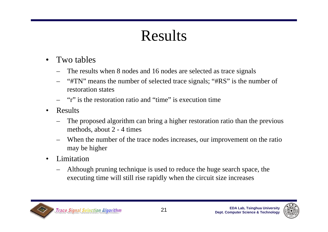### Results

- • Two tables
	- –The results when 8 nodes and 16 nodes are selected as trace signals
	- –"#TN" means the number of selected trace signals; "#RS" is the number of restoration states
	- –"r" is the restoration ratio and "time" is execution time
- • Results
	- – The proposed algorithm can bring a higher restoration ratio than the previous methods, about 2 - 4 times
	- When the number of the trace nodes increases, our improvement on the ratio may be higher
- • Limitation
	- – Although pruning technique is used to reduce the huge search space, the executing time will still rise rapidly when the circuit size increases



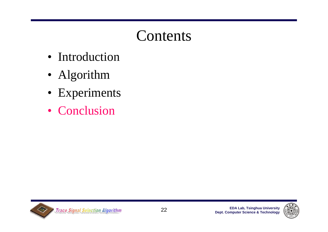- Introduction
- Algorithm
- Experiments
- Conclusion



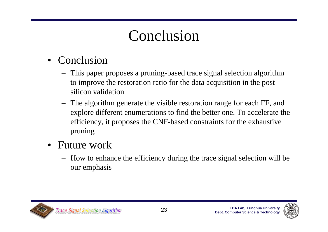### Conclusion

### • Conclusion

- This paper proposes a pruning-based trace signal selection algorithm to improve the restoration ratio for the data acquisition in the postsilicon validation
- The algorithm generate the visible restoration range for each FF, and explore different enumerations to find the better one. To accelerate the efficiency, it proposes the CNF-based constraints for the exhaustive pruning
- Future work
	- How to enhance the efficiency during the trace signal selection will be our emphasis